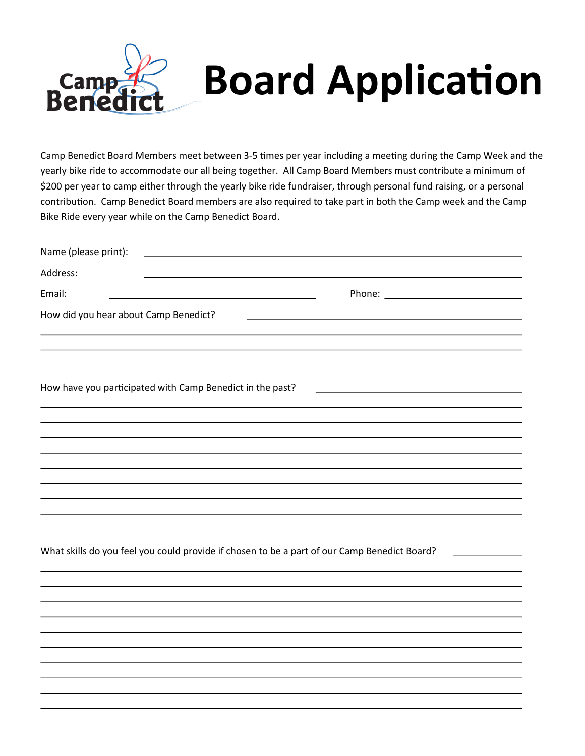

Camp Benedict Board Members meet between 3-5 times per year including a meeting during the Camp Week and the yearly bike ride to accommodate our all being together. All Camp Board Members must contribute a minimum of \$200 per year to camp either through the yearly bike ride fundraiser, through personal fund raising, or a personal contribution. Camp Benedict Board members are also required to take part in both the Camp week and the Camp Bike Ride every year while on the Camp Benedict Board.

| Name (please print):<br><u> 1980 - Andrea Stadt Britain, amerikansk politik (</u>                                              |  |  |  |  |
|--------------------------------------------------------------------------------------------------------------------------------|--|--|--|--|
| Address:                                                                                                                       |  |  |  |  |
| Email:<br><u> 1980 - Johann Barn, mars ann an t-Amhain Aonaich an t-Aonaich an t-Aonaich ann an t-Aonaich ann an t-Aonaich</u> |  |  |  |  |
| How did you hear about Camp Benedict?                                                                                          |  |  |  |  |
|                                                                                                                                |  |  |  |  |
| How have you participated with Camp Benedict in the past?<br><u> 1989 - Jan Samuel Barbara, poeta esperanto-</u>               |  |  |  |  |
|                                                                                                                                |  |  |  |  |
|                                                                                                                                |  |  |  |  |
|                                                                                                                                |  |  |  |  |
|                                                                                                                                |  |  |  |  |
|                                                                                                                                |  |  |  |  |
|                                                                                                                                |  |  |  |  |
|                                                                                                                                |  |  |  |  |
| What skills do you feel you could provide if chosen to be a part of our Camp Benedict Board?                                   |  |  |  |  |
|                                                                                                                                |  |  |  |  |
|                                                                                                                                |  |  |  |  |
|                                                                                                                                |  |  |  |  |
|                                                                                                                                |  |  |  |  |
|                                                                                                                                |  |  |  |  |
|                                                                                                                                |  |  |  |  |
|                                                                                                                                |  |  |  |  |
|                                                                                                                                |  |  |  |  |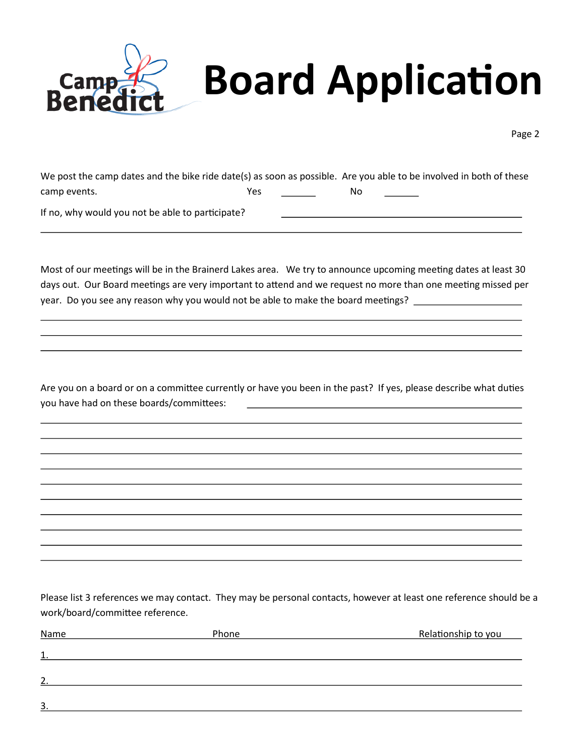

Page 2

| We post the camp dates and the bike ride date(s) as soon as possible. Are you able to be involved in both of these |     |    |
|--------------------------------------------------------------------------------------------------------------------|-----|----|
| camp events.                                                                                                       | Yes | No |

If no, why would you not be able to participate?

Most of our meetings will be in the Brainerd Lakes area. We try to announce upcoming meeting dates at least 30 days out. Our Board meetings are very important to attend and we request no more than one meeting missed per year. Do you see any reason why you would not be able to make the board meetings?

Are you on a board or on a committee currently or have you been in the past? If yes, please describe what duties you have had on these boards/committees:

Please list 3 references we may contact. They may be personal contacts, however at least one reference should be a work/board/committee reference.

| <b>Name</b>        | Phone | Relationship to you |
|--------------------|-------|---------------------|
| $\mathbf{1}$<br>ᆠ. |       |                     |
| $\overline{2}$     |       |                     |
| 3.                 |       |                     |